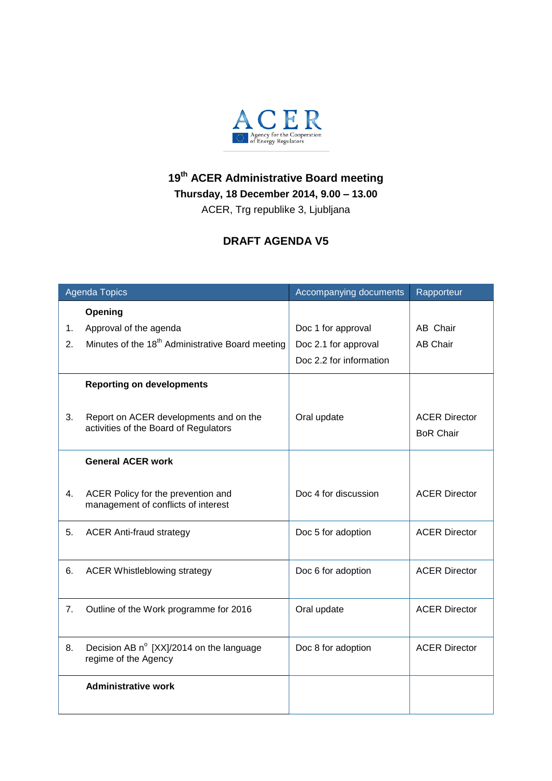

## **19 th ACER Administrative Board meeting**

**Thursday, 18 December 2014, 9.00 – 13.00**

ACER, Trg republike 3, Ljubljana

## **DRAFT AGENDA V5**

| <b>Agenda Topics</b> |                                                                                 | Accompanying documents  | Rapporteur                               |
|----------------------|---------------------------------------------------------------------------------|-------------------------|------------------------------------------|
|                      | Opening                                                                         |                         |                                          |
| 1.                   | Approval of the agenda                                                          | Doc 1 for approval      | AB Chair                                 |
| 2.                   | Minutes of the 18 <sup>th</sup> Administrative Board meeting                    | Doc 2.1 for approval    | <b>AB Chair</b>                          |
|                      |                                                                                 | Doc 2.2 for information |                                          |
|                      | <b>Reporting on developments</b>                                                |                         |                                          |
| 3.                   | Report on ACER developments and on the<br>activities of the Board of Regulators | Oral update             | <b>ACER Director</b><br><b>BoR Chair</b> |
|                      | <b>General ACER work</b>                                                        |                         |                                          |
| 4.                   | ACER Policy for the prevention and<br>management of conflicts of interest       | Doc 4 for discussion    | <b>ACER Director</b>                     |
| 5.                   | <b>ACER Anti-fraud strategy</b>                                                 | Doc 5 for adoption      | <b>ACER Director</b>                     |
| 6.                   | <b>ACER Whistleblowing strategy</b>                                             | Doc 6 for adoption      | <b>ACER Director</b>                     |
| 7.                   | Outline of the Work programme for 2016                                          | Oral update             | <b>ACER Director</b>                     |
| 8.                   | Decision AB n° [XX]/2014 on the language<br>regime of the Agency                | Doc 8 for adoption      | <b>ACER Director</b>                     |
|                      | <b>Administrative work</b>                                                      |                         |                                          |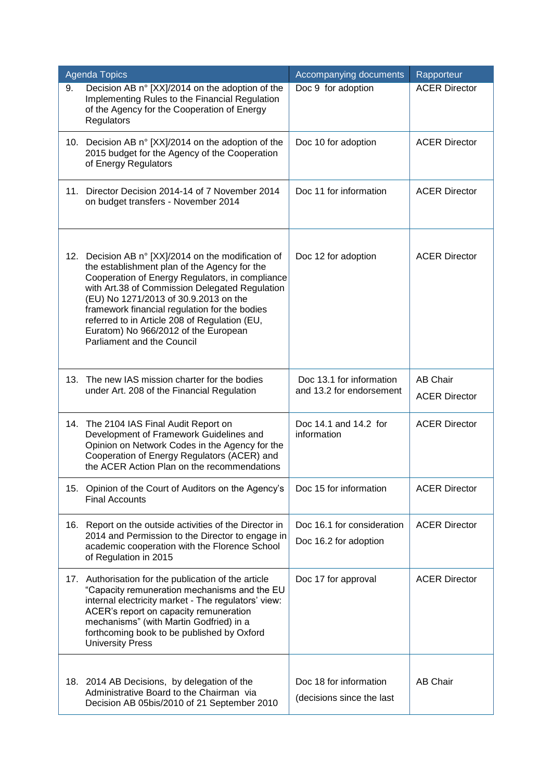|     | <b>Agenda Topics</b>                                                                                                                                                                                                                                                                                                                                                                                                      | Accompanying documents                               | Rapporteur                              |
|-----|---------------------------------------------------------------------------------------------------------------------------------------------------------------------------------------------------------------------------------------------------------------------------------------------------------------------------------------------------------------------------------------------------------------------------|------------------------------------------------------|-----------------------------------------|
| 9.  | Decision AB n° [XX]/2014 on the adoption of the<br>Implementing Rules to the Financial Regulation<br>of the Agency for the Cooperation of Energy<br>Regulators                                                                                                                                                                                                                                                            | Doc 9 for adoption                                   | <b>ACER Director</b>                    |
|     | 10. Decision AB n° [XX]/2014 on the adoption of the<br>2015 budget for the Agency of the Cooperation<br>of Energy Regulators                                                                                                                                                                                                                                                                                              | Doc 10 for adoption                                  | <b>ACER Director</b>                    |
|     | 11. Director Decision 2014-14 of 7 November 2014<br>on budget transfers - November 2014                                                                                                                                                                                                                                                                                                                                   | Doc 11 for information                               | <b>ACER Director</b>                    |
|     | 12. Decision AB n° [XX]/2014 on the modification of<br>the establishment plan of the Agency for the<br>Cooperation of Energy Regulators, in compliance<br>with Art.38 of Commission Delegated Regulation<br>(EU) No 1271/2013 of 30.9.2013 on the<br>framework financial regulation for the bodies<br>referred to in Article 208 of Regulation (EU,<br>Euratom) No 966/2012 of the European<br>Parliament and the Council | Doc 12 for adoption                                  | <b>ACER Director</b>                    |
|     | 13. The new IAS mission charter for the bodies<br>under Art. 208 of the Financial Regulation                                                                                                                                                                                                                                                                                                                              | Doc 13.1 for information<br>and 13.2 for endorsement | <b>AB Chair</b><br><b>ACER Director</b> |
|     | 14. The 2104 IAS Final Audit Report on<br>Development of Framework Guidelines and<br>Opinion on Network Codes in the Agency for the<br>Cooperation of Energy Regulators (ACER) and<br>the ACER Action Plan on the recommendations                                                                                                                                                                                         | Doc 14.1 and 14.2 for<br>information                 | <b>ACER Director</b>                    |
|     | 15. Opinion of the Court of Auditors on the Agency's<br><b>Final Accounts</b>                                                                                                                                                                                                                                                                                                                                             | Doc 15 for information                               | <b>ACER Director</b>                    |
| 16. | Report on the outside activities of the Director in<br>2014 and Permission to the Director to engage in<br>academic cooperation with the Florence School<br>of Regulation in 2015                                                                                                                                                                                                                                         | Doc 16.1 for consideration                           | <b>ACER Director</b>                    |
|     |                                                                                                                                                                                                                                                                                                                                                                                                                           | Doc 16.2 for adoption                                |                                         |
|     | 17. Authorisation for the publication of the article<br>"Capacity remuneration mechanisms and the EU<br>internal electricity market - The regulators' view:<br>ACER's report on capacity remuneration<br>mechanisms" (with Martin Godfried) in a<br>forthcoming book to be published by Oxford<br><b>University Press</b>                                                                                                 | Doc 17 for approval                                  | <b>ACER Director</b>                    |
|     | 18. 2014 AB Decisions, by delegation of the<br>Administrative Board to the Chairman via<br>Decision AB 05bis/2010 of 21 September 2010                                                                                                                                                                                                                                                                                    | Doc 18 for information<br>(decisions since the last  | <b>AB Chair</b>                         |